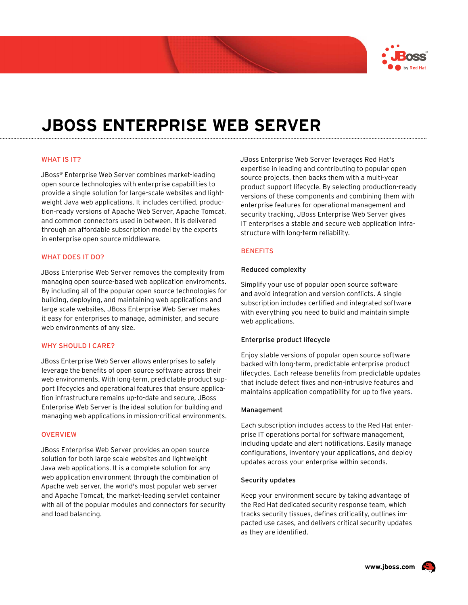

# **JBoss Enterprise Web Server**

## WHAT IS IT?

JBoss® Enterprise Web Server combines market-leading open source technologies with enterprise capabilities to provide a single solution for large-scale websites and lightweight Java web applications. It includes certified, production-ready versions of Apache Web Server, Apache Tomcat, and common connectors used in between. It is delivered through an affordable subscription model by the experts in enterprise open source middleware.

## WHAT DOES IT DO?

JBoss Enterprise Web Server removes the complexity from managing open source-based web application enviroments. By including all of the popular open source technologies for building, deploying, and maintaining web applications and large scale websites, JBoss Enterprise Web Server makes it easy for enterprises to manage, administer, and secure web environments of any size.

## WHY SHOULD I CARE?

JBoss Enterprise Web Server allows enterprises to safely leverage the benefits of open source software across their web environments. With long-term, predictable product support lifecycles and operational features that ensure application infrastructure remains up-to-date and secure, JBoss Enterprise Web Server is the ideal solution for building and managing web applications in mission-critical environments.

#### **OVERVIEW**

JBoss Enterprise Web Server provides an open source solution for both large scale websites and lightweight Java web applications. It is a complete solution for any web application environment through the combination of Apache web server, the world's most popular web server and Apache Tomcat, the market-leading servlet container with all of the popular modules and connectors for security and load balancing.

JBoss Enterprise Web Server leverages Red Hat's expertise in leading and contributing to popular open source projects, then backs them with a multi-year product support lifecycle. By selecting production-ready versions of these components and combining them with enterprise features for operational management and security tracking, JBoss Enterprise Web Server gives IT enterprises a stable and secure web application infrastructure with long-term reliability.

## **BENEFITS**

#### Reduced complexity

Simplify your use of popular open source software and avoid integration and version conflicts. A single subscription includes certified and integrated software with everything you need to build and maintain simple web applications.

## Enterprise product lifecycle

Enjoy stable versions of popular open source software backed with long-term, predictable enterprise product lifecycles. Each release benefits from predictable updates that include defect fixes and non-intrusive features and maintains application compatibility for up to five years.

#### Management

Each subscription includes access to the Red Hat enterprise IT operations portal for software management, including update and alert notifications. Easily manage configurations, inventory your applications, and deploy updates across your enterprise within seconds.

#### Security updates

Keep your environment secure by taking advantage of the Red Hat dedicated security response team, which tracks security tissues, defines criticality, outlines impacted use cases, and delivers critical security updates as they are identified.

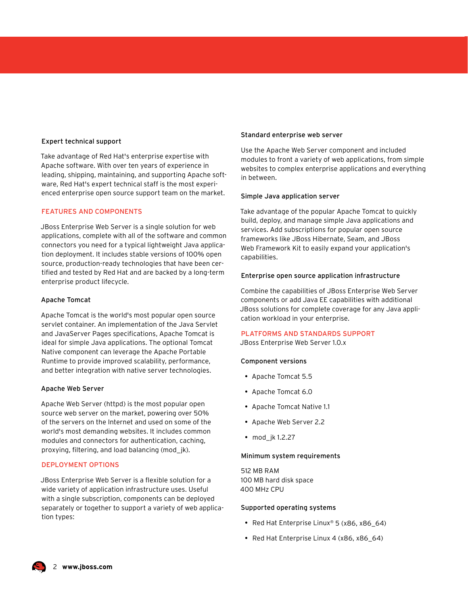## Expert technical support

Take advantage of Red Hat's enterprise expertise with Apache software. With over ten years of experience in leading, shipping, maintaining, and supporting Apache software, Red Hat's expert technical staff is the most experienced enterprise open source support team on the market.

## FEATURES AND COMPONENTS

JBoss Enterprise Web Server is a single solution for web applications, complete with all of the software and common connectors you need for a typical lightweight Java application deployment. It includes stable versions of 100% open source, production-ready technologies that have been certified and tested by Red Hat and are backed by a long-term enterprise product lifecycle.

## Apache Tomcat

Apache Tomcat is the world's most popular open source servlet container. An implementation of the Java Servlet and JavaServer Pages specifications, Apache Tomcat is ideal for simple Java applications. The optional Tomcat Native component can leverage the Apache Portable Runtime to provide improved scalability, performance, and better integration with native server technologies.

## Apache Web Server

Apache Web Server (httpd) is the most popular open source web server on the market, powering over 50% of the servers on the Internet and used on some of the world's most demanding websites. It includes common modules and connectors for authentication, caching, proxying, filtering, and load balancing (mod\_jk).

# DEPLOYMENT OPTIONS

JBoss Enterprise Web Server is a flexible solution for a wide variety of application infrastructure uses. Useful with a single subscription, components can be deployed separately or together to support a variety of web application types:

## Standard enterprise web server

Use the Apache Web Server component and included modules to front a variety of web applications, from simple websites to complex enterprise applications and everything in between.

## Simple Java application server

Take advantage of the popular Apache Tomcat to quickly build, deploy, and manage simple Java applications and services. Add subscriptions for popular open source frameworks like JBoss Hibernate, Seam, and JBoss Web Framework Kit to easily expand your application's capabilities.

## Enterprise open source application infrastructure

Combine the capabilities of JBoss Enterprise Web Server components or add Java EE capabilities with additional JBoss solutions for complete coverage for any Java application workload in your enterprise.

## PLATFORMS AND STANDARDS SUPPORT

JBoss Enterprise Web Server 1.0.x

## Component versions

- Apache Tomcat 5.5
- • Apache Tomcat 6.0
- • Apache Tomcat Native 1.1
- • Apache Web Server 2.2
- mod\_jk 1.2.27

## Minimum system requirements

512 MB RAM 100 MB hard disk space 400 MHz CPU

#### Supported operating systems

- Red Hat Enterprise Linux® 5 (x86, x86\_64)
- Red Hat Enterprise Linux 4 (x86, x86\_64)

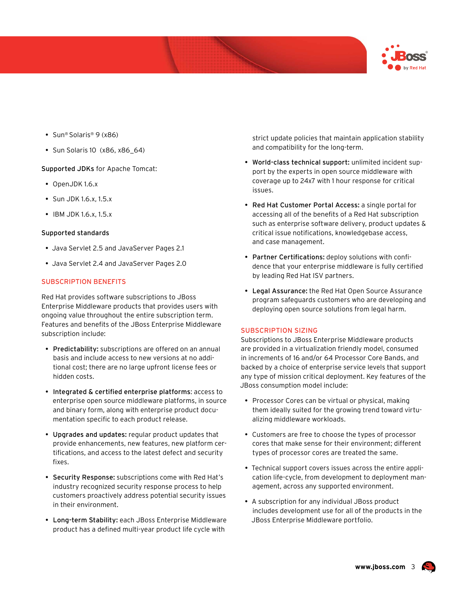

- Sun® Solaris® 9 (x86)
- Sun Solaris 10 (x86, x86\_64)

Supported JDKs for Apache Tomcat:

- OpenJDK 1.6.x
- Sun JDK 1.6.x, 1.5.x
- IBM JDK 1.6.x, 1.5.x

# Supported standards

- Java Servlet 2.5 and JavaServer Pages 2.1
- Java Servlet 2.4 and JavaServer Pages 2.0

# Subscription Benefits

Red Hat provides software subscriptions to JBoss Enterprise Middleware products that provides users with ongoing value throughout the entire subscription term. Features and benefits of the JBoss Enterprise Middleware subscription include:

- Predictability: subscriptions are offered on an annual basis and include access to new versions at no additional cost; there are no large upfront license fees or hidden costs.
- • Integrated & certified enterprise platforms: access to enterprise open source middleware platforms, in source and binary form, along with enterprise product documentation specific to each product release.
- Upgrades and updates: regular product updates that provide enhancements, new features, new platform certifications, and access to the latest defect and security fixes.
- Security Response: subscriptions come with Red Hat's industry recognized security response process to help customers proactively address potential security issues in their environment.
- Long-term Stability: each JBoss Enterprise Middleware product has a defined multi-year product life cycle with

strict update policies that maintain application stability and compatibility for the long-term.

- World-class technical support: unlimited incident support by the experts in open source middleware with coverage up to 24x7 with 1 hour response for critical issues.
- Red Hat Customer Portal Access: a single portal for accessing all of the benefits of a Red Hat subscription such as enterprise software delivery, product updates & critical issue notifications, knowledgebase access, and case management.
- Partner Certifications: deploy solutions with confidence that your enterprise middleware is fully certified by leading Red Hat ISV partners.
- Legal Assurance: the Red Hat Open Source Assurance program safeguards customers who are developing and deploying open source solutions from legal harm.

# Subscription Sizing

Subscriptions to JBoss Enterprise Middleware products are provided in a virtualization friendly model, consumed in increments of 16 and/or 64 Processor Core Bands, and backed by a choice of enterprise service levels that support any type of mission critical deployment. Key features of the JBoss consumption model include:

- Processor Cores can be virtual or physical, making them ideally suited for the growing trend toward virtualizing middleware workloads.
- • Customers are free to choose the types of processor cores that make sense for their environment; different types of processor cores are treated the same.
- Technical support covers issues across the entire application life-cycle, from development to deployment management, across any supported environment.
- A subscription for any individual JBoss product includes development use for all of the products in the JBoss Enterprise Middleware portfolio.